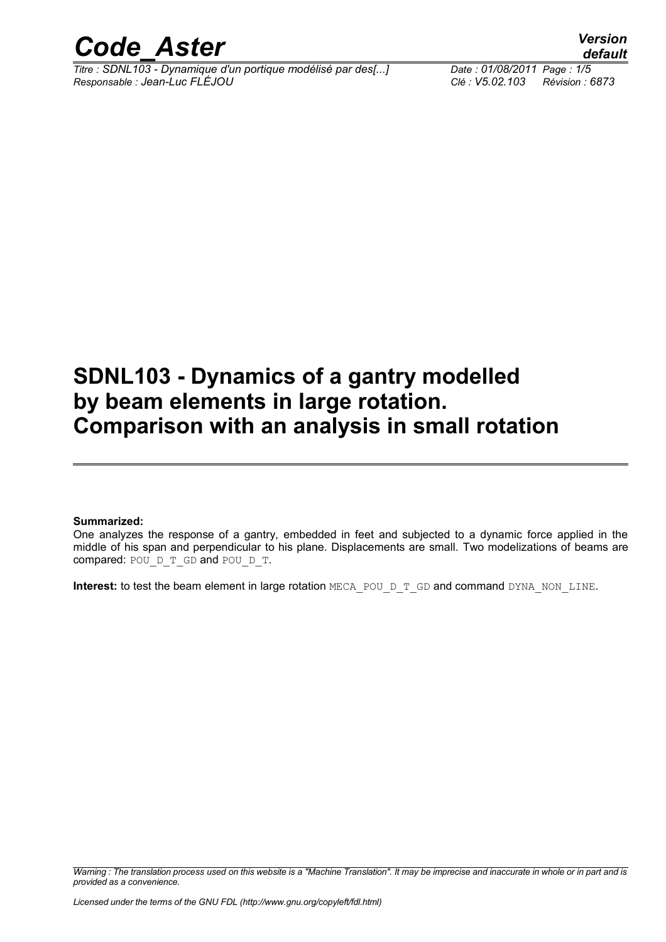

*Titre : SDNL103 - Dynamique d'un portique modélisé par des[...] Date : 01/08/2011 Page : 1/5 Responsable : Jean-Luc FLÉJOU Clé : V5.02.103 Révision : 6873*

*default*

# **SDNL103 - Dynamics of a gantry modelled by beam elements in large rotation. Comparison with an analysis in small rotation**

#### **Summarized:**

One analyzes the response of a gantry, embedded in feet and subjected to a dynamic force applied in the middle of his span and perpendicular to his plane. Displacements are small. Two modelizations of beams are compared: POU D\_T\_GD and POU\_D\_T.

**Interest:** to test the beam element in large rotation MECA\_POU\_D\_T\_GD and command DYNA\_NON\_LINE.

*Warning : The translation process used on this website is a "Machine Translation". It may be imprecise and inaccurate in whole or in part and is provided as a convenience.*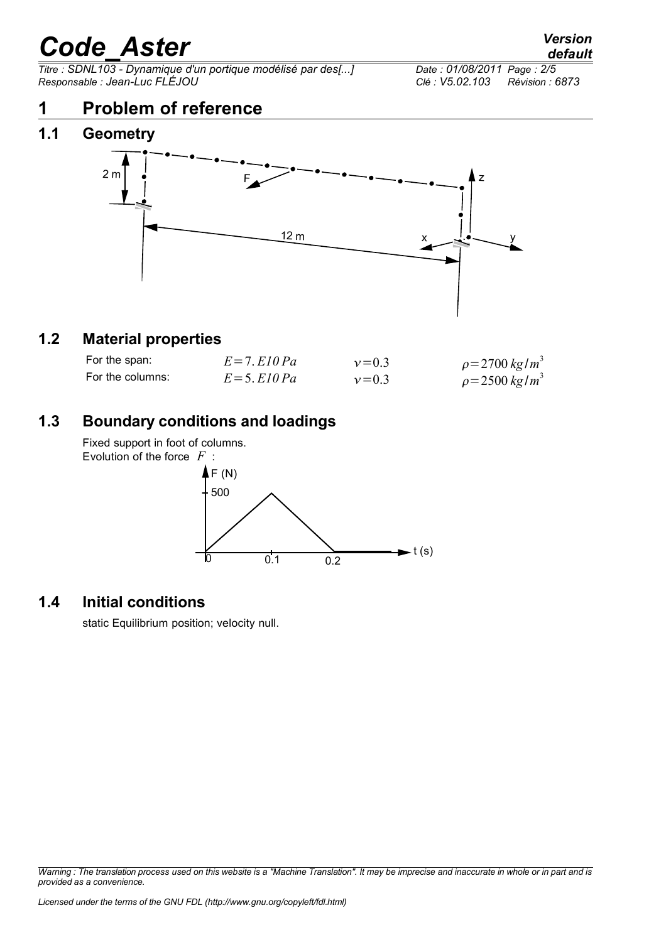$\overline{T}$ itre : SDNL103 - Dynamique d'un portique modélisé par des[...] *Responsable : Jean-Luc FLÉJOU Clé : V5.02.103 Révision : 6873*

### **1 Problem of reference**

#### **1.1 Geometry**



#### **1.2 Material properties**

| For the span:    | $E=7. E10 Pa$     | $v = 0.3$ | $\rho = 2700 \ kg/m^3$ |
|------------------|-------------------|-----------|------------------------|
| For the columns: | $E = 5$ . El 0 Pa | $v = 0.3$ | $\rho = 2500 \ kg/m^3$ |

#### **1.3 Boundary conditions and loadings**

Fixed support in foot of columns. Evolution of the force *F* :  $F(N)$ 500



#### **1.4 Initial conditions**

static Equilibrium position; velocity null.

*Warning : The translation process used on this website is a "Machine Translation". It may be imprecise and inaccurate in whole or in part and is provided as a convenience.*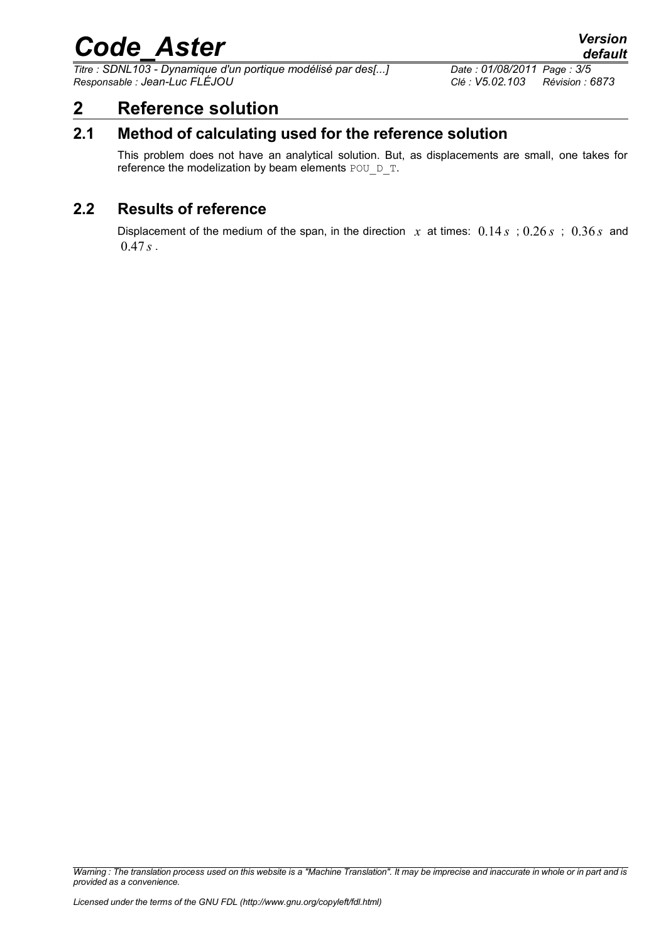*Titre : SDNL103 - Dynamique d'un portique modélisé par des[...] Date : 01/08/2011 Page : 3/5 Responsable : Jean-Luc FLÉJOU Clé : V5.02.103 Révision : 6873*

### **2 Reference solution**

#### **2.1 Method of calculating used for the reference solution**

This problem does not have an analytical solution. But, as displacements are small, one takes for reference the modelization by beam elements POU D\_T.

#### **2.2 Results of reference**

Displacement of the medium of the span, in the direction  $x$  at times:  $0.14s$ ;  $0.26s$ ;  $0.36s$  and  $0.47 s$ .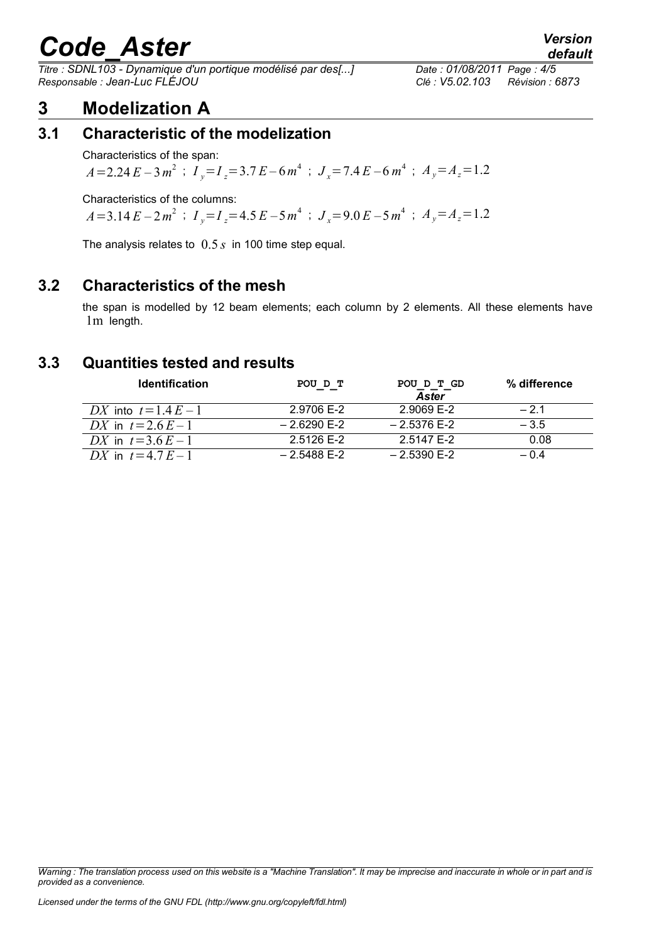*Titre : SDNL103 - Dynamique d'un portique modélisé par des[...] Date : 01/08/2011 Page : 4/5 Responsable : Jean-Luc FLÉJOU Clé : V5.02.103 Révision : 6873*

### **3 Modelization A**

#### **3.1 Characteristic of the modelization**

Characteristics of the span:

 $A = 2.24 E - 3 m<sup>2</sup>$  ;  $I_y = I_z = 3.7 E - 6 m<sup>4</sup>$  ;  $J_x = 7.4 E - 6 m<sup>4</sup>$  ;  $A_y = A_z = 1.2$ 

Characteristics of the columns:

 $A=3.14 E - 2m^2$  ;  $I_y=I_z=4.5 E - 5m^4$  ;  $J_x=9.0 E - 5m^4$  ;  $A_y=A_z=1.2$ 

The analysis relates to 0.5 *s* in 100 time step equal.

#### **3.2 Characteristics of the mesh**

the span is modelled by 12 beam elements; each column by 2 elements. All these elements have 1m length.

#### **3.3 Quantities tested and results**

| <b>Identification</b>   | POU D T       | POU D T GD<br><b>Aster</b> | % difference |
|-------------------------|---------------|----------------------------|--------------|
| DX into $t = 1.4 E - 1$ | 2.9706 E-2    | 2.9069 E-2                 | $-2.1$       |
| DX in $t = 2.6E - 1$    | $-2.6290$ F-2 | $-2.5376$ F-2              | $-3.5$       |
| DX in $t = 3.6E - 1$    | 2.5126 E-2    | 2.5147 E-2                 | 0.08         |
| DX in $t = 4.7 E - 1$   | $-2.5488$ F-2 | $-2.5390$ F-2              | $-0.4$       |

*Warning : The translation process used on this website is a "Machine Translation". It may be imprecise and inaccurate in whole or in part and is provided as a convenience.*